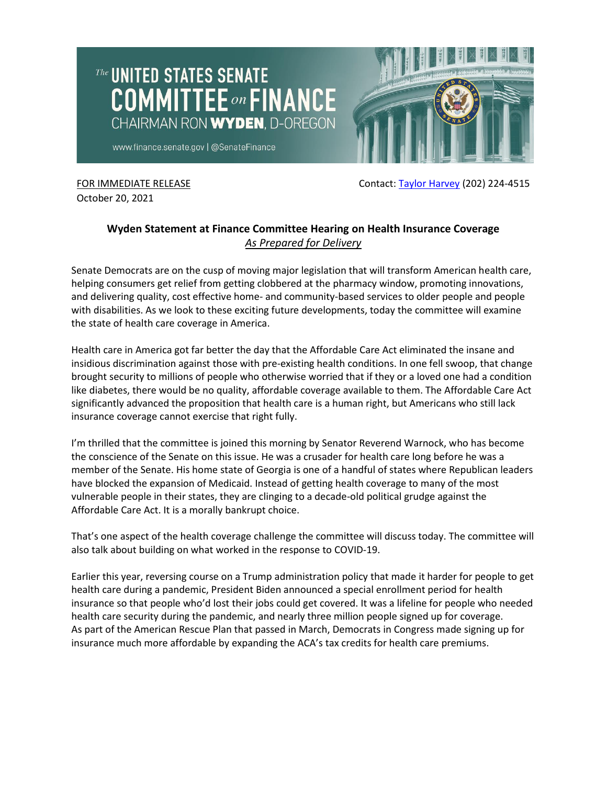

FOR IMMEDIATE RELEASE **FOR IMMEDIATE RELEASE Contact: [Taylor Harvey](mailto:taylor_harvey@finance.senate.gov) (202) 224-4515** 

October 20, 2021

## **Wyden Statement at Finance Committee Hearing on Health Insurance Coverage** *As Prepared for Delivery*

Senate Democrats are on the cusp of moving major legislation that will transform American health care, helping consumers get relief from getting clobbered at the pharmacy window, promoting innovations, and delivering quality, cost effective home- and community-based services to older people and people with disabilities. As we look to these exciting future developments, today the committee will examine the state of health care coverage in America.

Health care in America got far better the day that the Affordable Care Act eliminated the insane and insidious discrimination against those with pre-existing health conditions. In one fell swoop, that change brought security to millions of people who otherwise worried that if they or a loved one had a condition like diabetes, there would be no quality, affordable coverage available to them. The Affordable Care Act significantly advanced the proposition that health care is a human right, but Americans who still lack insurance coverage cannot exercise that right fully.

I'm thrilled that the committee is joined this morning by Senator Reverend Warnock, who has become the conscience of the Senate on this issue. He was a crusader for health care long before he was a member of the Senate. His home state of Georgia is one of a handful of states where Republican leaders have blocked the expansion of Medicaid. Instead of getting health coverage to many of the most vulnerable people in their states, they are clinging to a decade-old political grudge against the Affordable Care Act. It is a morally bankrupt choice.

That's one aspect of the health coverage challenge the committee will discuss today. The committee will also talk about building on what worked in the response to COVID-19.

Earlier this year, reversing course on a Trump administration policy that made it harder for people to get health care during a pandemic, President Biden announced a special enrollment period for health insurance so that people who'd lost their jobs could get covered. It was a lifeline for people who needed health care security during the pandemic, and nearly three million people signed up for coverage. As part of the American Rescue Plan that passed in March, Democrats in Congress made signing up for insurance much more affordable by expanding the ACA's tax credits for health care premiums.